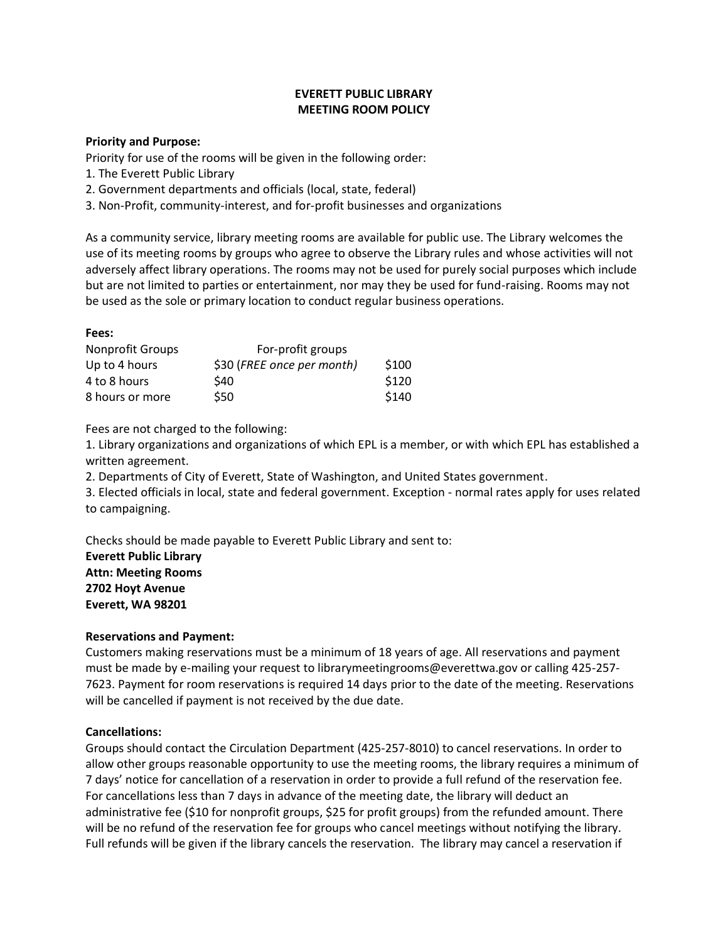# **EVERETT PUBLIC LIBRARY MEETING ROOM POLICY**

#### **Priority and Purpose:**

Priority for use of the rooms will be given in the following order:

- 1. The Everett Public Library
- 2. Government departments and officials (local, state, federal)
- 3. Non-Profit, community-interest, and for-profit businesses and organizations

As a community service, library meeting rooms are available for public use. The Library welcomes the use of its meeting rooms by groups who agree to observe the Library rules and whose activities will not adversely affect library operations. The rooms may not be used for purely social purposes which include but are not limited to parties or entertainment, nor may they be used for fund-raising. Rooms may not be used as the sole or primary location to conduct regular business operations.

### **Fees:**

| <b>Nonprofit Groups</b> | For-profit groups          |       |
|-------------------------|----------------------------|-------|
| Up to 4 hours           | \$30 (FREE once per month) | \$100 |
| 4 to 8 hours            | \$40                       | \$120 |
| 8 hours or more         | \$50                       | \$140 |

Fees are not charged to the following:

1. Library organizations and organizations of which EPL is a member, or with which EPL has established a written agreement.

2. Departments of City of Everett, State of Washington, and United States government.

3. Elected officials in local, state and federal government. Exception - normal rates apply for uses related to campaigning.

Checks should be made payable to Everett Public Library and sent to: **Everett Public Library Attn: Meeting Rooms 2702 Hoyt Avenue Everett, WA 98201**

# **Reservations and Payment:**

Customers making reservations must be a minimum of 18 years of age. All reservations and payment must be made by e-mailing your request to librarymeetingrooms@everettwa.gov or calling 425-257- 7623. Payment for room reservations is required 14 days prior to the date of the meeting. Reservations will be cancelled if payment is not received by the due date.

# **Cancellations:**

Groups should contact the Circulation Department (425-257-8010) to cancel reservations. In order to allow other groups reasonable opportunity to use the meeting rooms, the library requires a minimum of 7 days' notice for cancellation of a reservation in order to provide a full refund of the reservation fee. For cancellations less than 7 days in advance of the meeting date, the library will deduct an administrative fee (\$10 for nonprofit groups, \$25 for profit groups) from the refunded amount. There will be no refund of the reservation fee for groups who cancel meetings without notifying the library. Full refunds will be given if the library cancels the reservation. The library may cancel a reservation if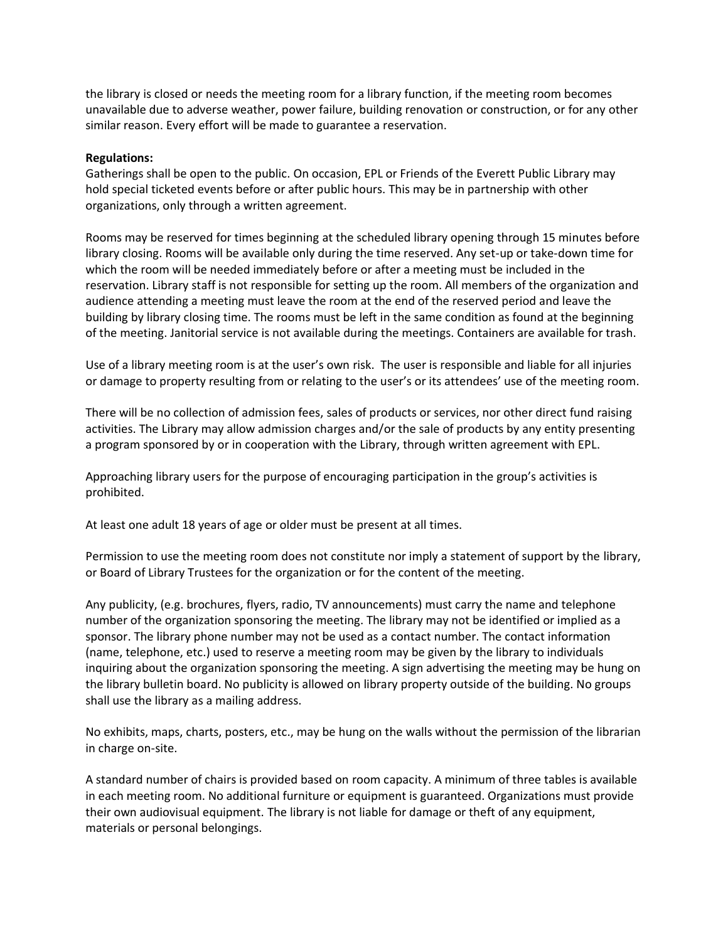the library is closed or needs the meeting room for a library function, if the meeting room becomes unavailable due to adverse weather, power failure, building renovation or construction, or for any other similar reason. Every effort will be made to guarantee a reservation.

#### **Regulations:**

Gatherings shall be open to the public. On occasion, EPL or Friends of the Everett Public Library may hold special ticketed events before or after public hours. This may be in partnership with other organizations, only through a written agreement.

Rooms may be reserved for times beginning at the scheduled library opening through 15 minutes before library closing. Rooms will be available only during the time reserved. Any set-up or take-down time for which the room will be needed immediately before or after a meeting must be included in the reservation. Library staff is not responsible for setting up the room. All members of the organization and audience attending a meeting must leave the room at the end of the reserved period and leave the building by library closing time. The rooms must be left in the same condition as found at the beginning of the meeting. Janitorial service is not available during the meetings. Containers are available for trash.

Use of a library meeting room is at the user's own risk. The user is responsible and liable for all injuries or damage to property resulting from or relating to the user's or its attendees' use of the meeting room.

There will be no collection of admission fees, sales of products or services, nor other direct fund raising activities. The Library may allow admission charges and/or the sale of products by any entity presenting a program sponsored by or in cooperation with the Library, through written agreement with EPL.

Approaching library users for the purpose of encouraging participation in the group's activities is prohibited.

At least one adult 18 years of age or older must be present at all times.

Permission to use the meeting room does not constitute nor imply a statement of support by the library, or Board of Library Trustees for the organization or for the content of the meeting.

Any publicity, (e.g. brochures, flyers, radio, TV announcements) must carry the name and telephone number of the organization sponsoring the meeting. The library may not be identified or implied as a sponsor. The library phone number may not be used as a contact number. The contact information (name, telephone, etc.) used to reserve a meeting room may be given by the library to individuals inquiring about the organization sponsoring the meeting. A sign advertising the meeting may be hung on the library bulletin board. No publicity is allowed on library property outside of the building. No groups shall use the library as a mailing address.

No exhibits, maps, charts, posters, etc., may be hung on the walls without the permission of the librarian in charge on-site.

A standard number of chairs is provided based on room capacity. A minimum of three tables is available in each meeting room. No additional furniture or equipment is guaranteed. Organizations must provide their own audiovisual equipment. The library is not liable for damage or theft of any equipment, materials or personal belongings.